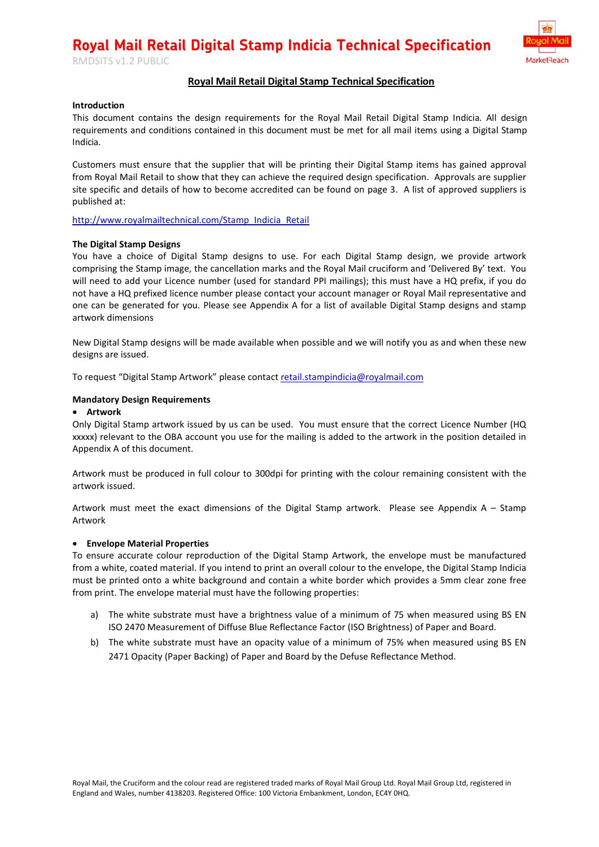**MarketReach** 

# **Royal Mail Retail Digital Stamp Technical Specification**

## **Introduction**

RMDSITS v1.2 PUBLIC

This document contains the design requirements for the Royal Mail Retail Digital Stamp Indicia. All design requirements and conditions contained in this document must be met for all mail items using a Digital Stamp Indicia.

Customers must ensure that the supplier that will be printing their Digital Stamp items has gained approval from Royal Mail Retail to show that they can achieve the required design specification. Approvals are supplier site specific and details of how to become accredited can be found on page 3. A list of approved suppliers is published at:

[http://www.royalmailtechnical.com/Stamp\\_Indicia\\_Retail](http://www.royalmailtechnical.com/Stamp_Indicia_Retail)

### **The Digital Stamp Designs**

You have a choice of Digital Stamp designs to use. For each Digital Stamp design, we provide artwork comprising the Stamp image, the cancellation marks and the Royal Mail cruciform and 'Delivered By' text. You will need to add your Licence number (used for standard PPI mailings); this must have a HQ prefix, if you do not have a HQ prefixed licence number please contact your account manager or Royal Mail representative and one can be generated for you. Please see Appendix A for a list of available Digital Stamp designs and stamp artwork dimensions

New Digital Stamp designs will be made available when possible and we will notify you as and when these new designs are issued.

To request "Digital Stamp Artwork" please contact [retail.stampindicia@royalmail.com](mailto:retail.stampindicia@royalmail.com)

### **Mandatory Design Requirements**

### • **Artwork**

Only Digital Stamp artwork issued by us can be used. You must ensure that the correct Licence Number (HQ xxxxx) relevant to the OBA account you use for the mailing is added to the artwork in the position detailed in Appendix A of this document.

Artwork must be produced in full colour to 300dpi for printing with the colour remaining consistent with the artwork issued.

Artwork must meet the exact dimensions of the Digital Stamp artwork. Please see Appendix  $A -$  Stamp Artwork

## • **Envelope Material Properties**

To ensure accurate colour reproduction of the Digital Stamp Artwork, the envelope must be manufactured from a white, coated material. If you intend to print an overall colour to the envelope, the Digital Stamp Indicia must be printed onto a white background and contain a white border which provides a 5mm clear zone free from print. The envelope material must have the following properties:

- a) The white substrate must have a brightness value of a minimum of 75 when measured using BS EN ISO 2470 Measurement of Diffuse Blue Reflectance Factor (ISO Brightness) of Paper and Board.
- b) The white substrate must have an opacity value of a minimum of 75% when measured using BS EN 2471 Opacity (Paper Backing) of Paper and Board by the Defuse Reflectance Method.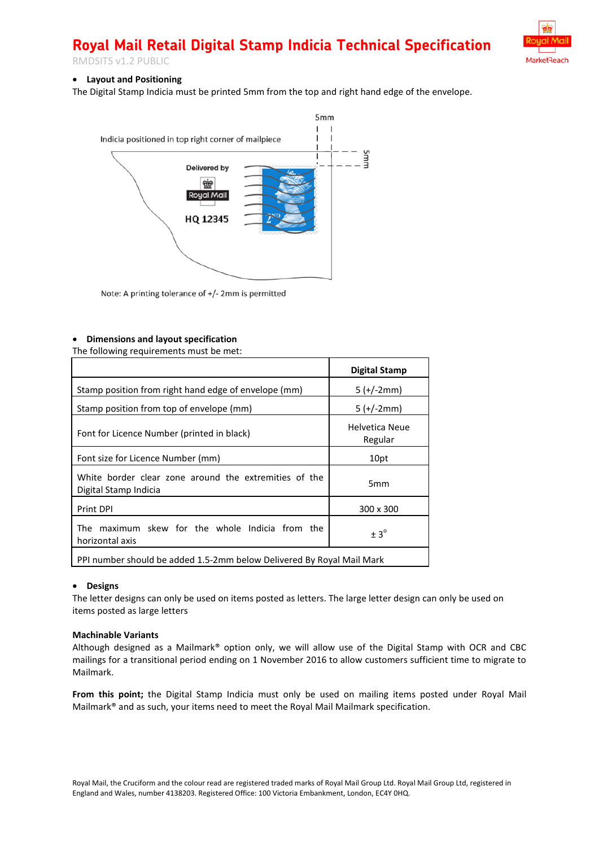



# • **Layout and Positioning**

The Digital Stamp Indicia must be printed 5mm from the top and right hand edge of the envelope.



Note: A printing tolerance of +/- 2mm is permitted

### • **Dimensions and layout specification**

The following requirements must be met:

|                                                                                | <b>Digital Stamp</b>      |  |  |  |  |
|--------------------------------------------------------------------------------|---------------------------|--|--|--|--|
| Stamp position from right hand edge of envelope (mm)                           | $5 (+/-2mm)$              |  |  |  |  |
| Stamp position from top of envelope (mm)                                       | $5 (+/-2mm)$              |  |  |  |  |
| Font for Licence Number (printed in black)                                     | Helvetica Neue<br>Regular |  |  |  |  |
| Font size for Licence Number (mm)                                              | 10pt                      |  |  |  |  |
| White border clear zone around the extremities of the<br>Digital Stamp Indicia | 5 <sub>mm</sub>           |  |  |  |  |
| <b>Print DPI</b>                                                               | 300 x 300                 |  |  |  |  |
| The maximum skew for the whole Indicia from the<br>horizontal axis             | $\pm$ 3 <sup>o</sup>      |  |  |  |  |
| PPI number should be added 1.5-2mm below Delivered By Royal Mail Mark          |                           |  |  |  |  |

#### • **Designs**

The letter designs can only be used on items posted as letters. The large letter design can only be used on items posted as large letters

#### **Machinable Variants**

Although designed as a Mailmark® option only, we will allow use of the Digital Stamp with OCR and CBC mailings for a transitional period ending on 1 November 2016 to allow customers sufficient time to migrate to Mailmark.

**From this point;** the Digital Stamp Indicia must only be used on mailing items posted under Royal Mail Mailmark® and as such, your items need to meet the Royal Mail Mailmark specification.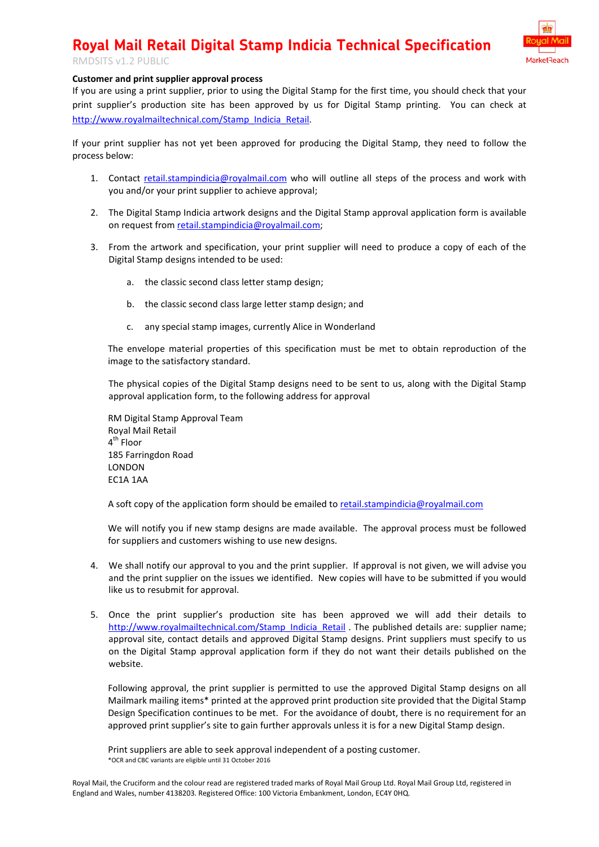

# RMDSITS v1.2 PUBLIC

# **Customer and print supplier approval process**

If you are using a print supplier, prior to using the Digital Stamp for the first time, you should check that your print supplier's production site has been approved by us for Digital Stamp printing. You can check at [http://www.royalmailtechnical.com/Stamp\\_Indicia\\_Retail.](http://www.royalmailtechnical.com/Stamp_Indicia_Retail)

If your print supplier has not yet been approved for producing the Digital Stamp, they need to follow the process below:

- 1. Contact [retail.stampindicia@royalmail.com](mailto:retail.stampindicia@royalmail.com) who will outline all steps of the process and work with you and/or your print supplier to achieve approval;
- 2. The Digital Stamp Indicia artwork designs and the Digital Stamp approval application form is available on request from [retail.stampindicia@royalmail.com;](mailto:retail.stampindicia@royalmail.com)
- 3. From the artwork and specification, your print supplier will need to produce a copy of each of the Digital Stamp designs intended to be used:
	- a. the classic second class letter stamp design;
	- b. the classic second class large letter stamp design; and
	- c. any special stamp images, currently Alice in Wonderland

The envelope material properties of this specification must be met to obtain reproduction of the image to the satisfactory standard.

The physical copies of the Digital Stamp designs need to be sent to us, along with the Digital Stamp approval application form, to the following address for approval

RM Digital Stamp Approval Team Royal Mail Retail 4<sup>th</sup> Floor 185 Farringdon Road LONDON EC1A 1AA

A soft copy of the application form should be emailed to [retail.stampindicia@royalmail.com](mailto:retail.stampindicia@royalmail.com)

We will notify you if new stamp designs are made available. The approval process must be followed for suppliers and customers wishing to use new designs.

- 4. We shall notify our approval to you and the print supplier. If approval is not given, we will advise you and the print supplier on the issues we identified. New copies will have to be submitted if you would like us to resubmit for approval.
- 5. Once the print supplier's production site has been approved we will add their details to [http://www.royalmailtechnical.com/Stamp\\_Indicia\\_Retail](http://www.royalmailtechnical.com/Stamp_Indicia_Retail) . The published details are: supplier name; approval site, contact details and approved Digital Stamp designs. Print suppliers must specify to us on the Digital Stamp approval application form if they do not want their details published on the website.

Following approval, the print supplier is permitted to use the approved Digital Stamp designs on all Mailmark mailing items\* printed at the approved print production site provided that the Digital Stamp Design Specification continues to be met. For the avoidance of doubt, there is no requirement for an approved print supplier's site to gain further approvals unless it is for a new Digital Stamp design.

Print suppliers are able to seek approval independent of a posting customer. \*OCR and CBC variants are eligible until 31 October 2016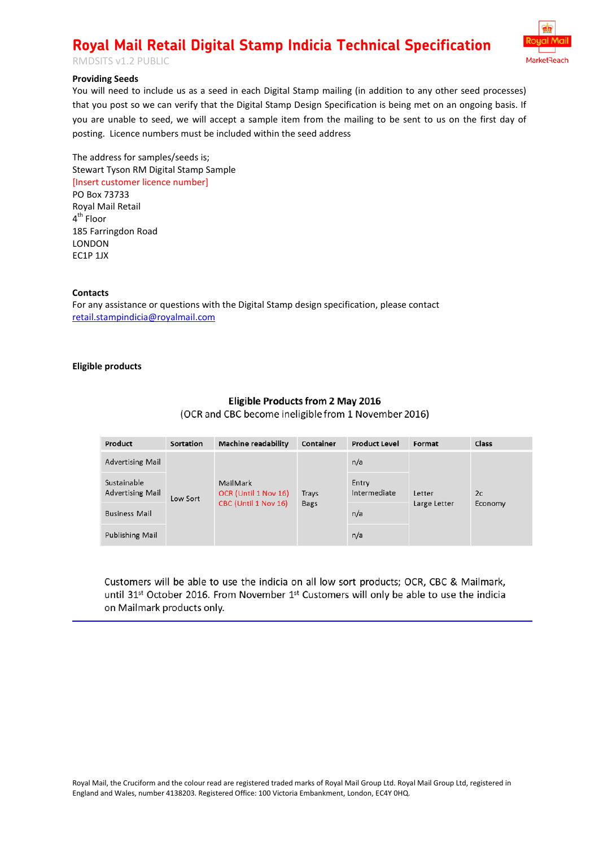



# **Providing Seeds**

You will need to include us as a seed in each Digital Stamp mailing (in addition to any other seed processes) that you post so we can verify that the Digital Stamp Design Specification is being met on an ongoing basis. If you are unable to seed, we will accept a sample item from the mailing to be sent to us on the first day of posting. Licence numbers must be included within the seed address

The address for samples/seeds is; Stewart Tyson RM Digital Stamp Sample [Insert customer licence number]

PO Box 73733 Royal Mail Retail 4<sup>th</sup> Floor 185 Farringdon Road LONDON EC1P 1JX

## **Contacts**

For any assistance or questions with the Digital Stamp design specification, please contact [retail.stampindicia@royalmail.com](mailto:retail.stampindicia@royalmail.com)

## **Eligible products**

# **Eligible Products from 2 May 2016**

(OCR and CBC become ineligible from 1 November 2016)

| Product                                | Sortation | <b>Machine readability</b>                               | Container            | <b>Product Level</b>  | Format                 | <b>Class</b>  |
|----------------------------------------|-----------|----------------------------------------------------------|----------------------|-----------------------|------------------------|---------------|
| <b>Advertising Mail</b>                | Low Sort  | MailMark<br>OCR (Until 1 Nov 16)<br>CBC (Until 1 Nov 16) | Trays<br><b>Bags</b> | n/a                   | Letter<br>Large Letter | 2c<br>Economy |
| Sustainable<br><b>Advertising Mail</b> |           |                                                          |                      | Entry<br>Intermediate |                        |               |
| <b>Business Mail</b>                   |           |                                                          |                      | n/a                   |                        |               |
| Publishing Mail                        |           |                                                          |                      | n/a                   |                        |               |

Customers will be able to use the indicia on all low sort products; OCR, CBC & Mailmark, until 31<sup>st</sup> October 2016. From November 1<sup>st</sup> Customers will only be able to use the indicia on Mailmark products only.